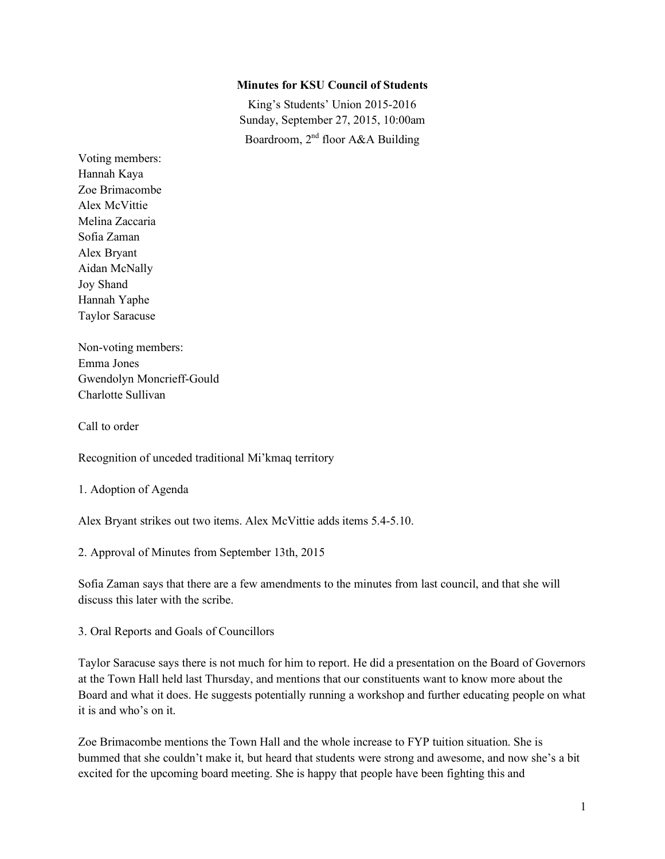### **Minutes for KSU Council of Students**

King's Students' Union 2015-2016 Sunday, September 27, 2015, 10:00am Boardroom, 2nd floor A&A Building

Voting members: Hannah Kaya Zoe Brimacombe Alex McVittie Melina Zaccaria Sofia Zaman Alex Bryant Aidan McNally Joy Shand Hannah Yaphe Taylor Saracuse

Non-voting members: Emma Jones Gwendolyn Moncrieff-Gould Charlotte Sullivan

Call to order

Recognition of unceded traditional Mi'kmaq territory

1. Adoption of Agenda

Alex Bryant strikes out two items. Alex McVittie adds items 5.4-5.10.

2. Approval of Minutes from September 13th, 2015

Sofia Zaman says that there are a few amendments to the minutes from last council, and that she will discuss this later with the scribe.

3. Oral Reports and Goals of Councillors

Taylor Saracuse says there is not much for him to report. He did a presentation on the Board of Governors at the Town Hall held last Thursday, and mentions that our constituents want to know more about the Board and what it does. He suggests potentially running a workshop and further educating people on what it is and who's on it.

Zoe Brimacombe mentions the Town Hall and the whole increase to FYP tuition situation. She is bummed that she couldn't make it, but heard that students were strong and awesome, and now she's a bit excited for the upcoming board meeting. She is happy that people have been fighting this and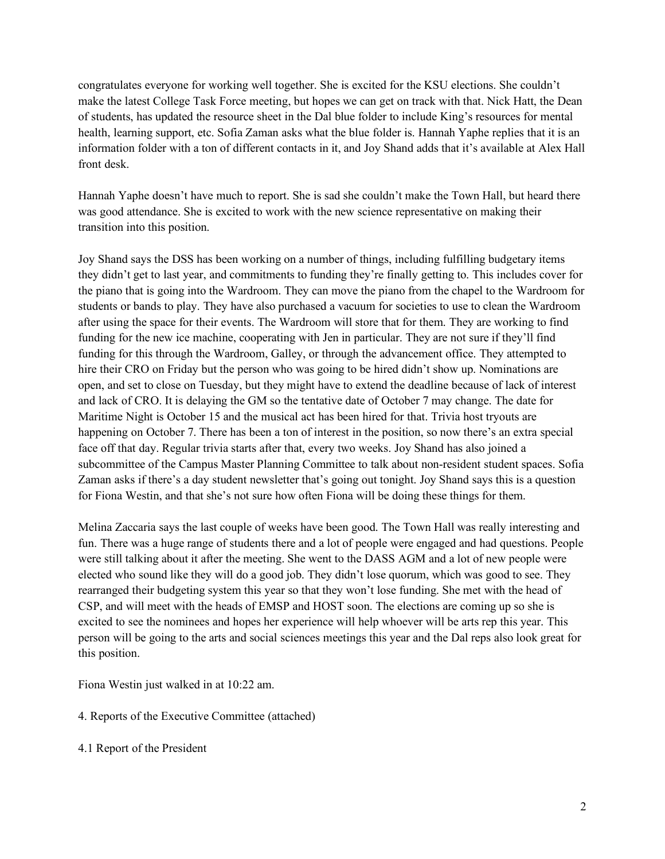congratulates everyone for working well together. She is excited for the KSU elections. She couldn't make the latest College Task Force meeting, but hopes we can get on track with that. Nick Hatt, the Dean of students, has updated the resource sheet in the Dal blue folder to include King's resources for mental health, learning support, etc. Sofia Zaman asks what the blue folder is. Hannah Yaphe replies that it is an information folder with a ton of different contacts in it, and Joy Shand adds that it's available at Alex Hall front desk.

Hannah Yaphe doesn't have much to report. She is sad she couldn't make the Town Hall, but heard there was good attendance. She is excited to work with the new science representative on making their transition into this position.

Joy Shand says the DSS has been working on a number of things, including fulfilling budgetary items they didn't get to last year, and commitments to funding they're finally getting to. This includes cover for the piano that is going into the Wardroom. They can move the piano from the chapel to the Wardroom for students or bands to play. They have also purchased a vacuum for societies to use to clean the Wardroom after using the space for their events. The Wardroom will store that for them. They are working to find funding for the new ice machine, cooperating with Jen in particular. They are not sure if they'll find funding for this through the Wardroom, Galley, or through the advancement office. They attempted to hire their CRO on Friday but the person who was going to be hired didn't show up. Nominations are open, and set to close on Tuesday, but they might have to extend the deadline because of lack of interest and lack of CRO. It is delaying the GM so the tentative date of October 7 may change. The date for Maritime Night is October 15 and the musical act has been hired for that. Trivia host tryouts are happening on October 7. There has been a ton of interest in the position, so now there's an extra special face off that day. Regular trivia starts after that, every two weeks. Joy Shand has also joined a subcommittee of the Campus Master Planning Committee to talk about non-resident student spaces. Sofia Zaman asks if there's a day student newsletter that's going out tonight. Joy Shand says this is a question for Fiona Westin, and that she's not sure how often Fiona will be doing these things for them.

Melina Zaccaria says the last couple of weeks have been good. The Town Hall was really interesting and fun. There was a huge range of students there and a lot of people were engaged and had questions. People were still talking about it after the meeting. She went to the DASS AGM and a lot of new people were elected who sound like they will do a good job. They didn't lose quorum, which was good to see. They rearranged their budgeting system this year so that they won't lose funding. She met with the head of CSP, and will meet with the heads of EMSP and HOST soon. The elections are coming up so she is excited to see the nominees and hopes her experience will help whoever will be arts rep this year. This person will be going to the arts and social sciences meetings this year and the Dal reps also look great for this position.

Fiona Westin just walked in at 10:22 am.

- 4. Reports of the Executive Committee (attached)
- 4.1 Report of the President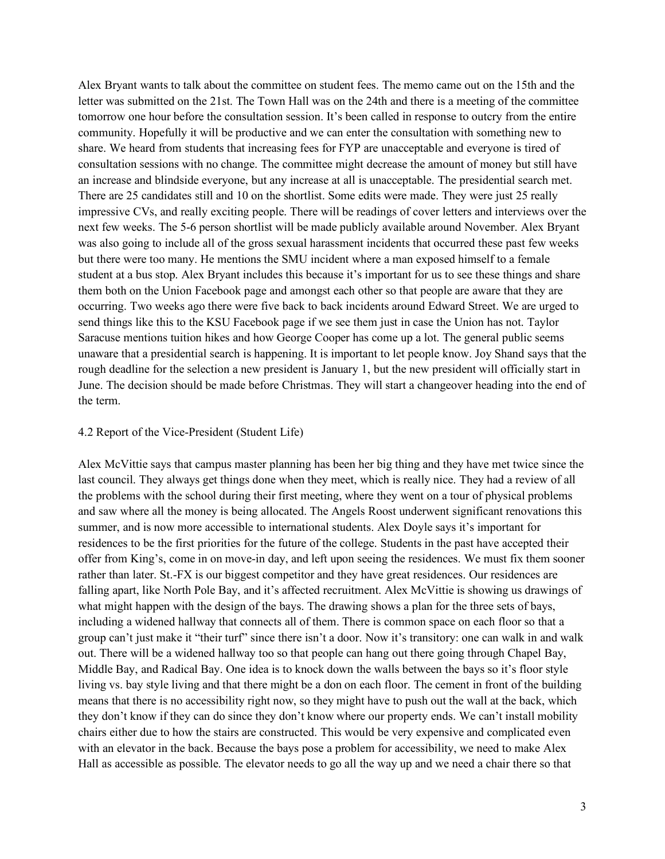Alex Bryant wants to talk about the committee on student fees. The memo came out on the 15th and the letter was submitted on the 21st. The Town Hall was on the 24th and there is a meeting of the committee tomorrow one hour before the consultation session. It's been called in response to outcry from the entire community. Hopefully it will be productive and we can enter the consultation with something new to share. We heard from students that increasing fees for FYP are unacceptable and everyone is tired of consultation sessions with no change. The committee might decrease the amount of money but still have an increase and blindside everyone, but any increase at all is unacceptable. The presidential search met. There are 25 candidates still and 10 on the shortlist. Some edits were made. They were just 25 really impressive CVs, and really exciting people. There will be readings of cover letters and interviews over the next few weeks. The 5-6 person shortlist will be made publicly available around November. Alex Bryant was also going to include all of the gross sexual harassment incidents that occurred these past few weeks but there were too many. He mentions the SMU incident where a man exposed himself to a female student at a bus stop. Alex Bryant includes this because it's important for us to see these things and share them both on the Union Facebook page and amongst each other so that people are aware that they are occurring. Two weeks ago there were five back to back incidents around Edward Street. We are urged to send things like this to the KSU Facebook page if we see them just in case the Union has not. Taylor Saracuse mentions tuition hikes and how George Cooper has come up a lot. The general public seems unaware that a presidential search is happening. It is important to let people know. Joy Shand says that the rough deadline for the selection a new president is January 1, but the new president will officially start in June. The decision should be made before Christmas. They will start a changeover heading into the end of the term.

## 4.2 Report of the Vice-President (Student Life)

Alex McVittie says that campus master planning has been her big thing and they have met twice since the last council. They always get things done when they meet, which is really nice. They had a review of all the problems with the school during their first meeting, where they went on a tour of physical problems and saw where all the money is being allocated. The Angels Roost underwent significant renovations this summer, and is now more accessible to international students. Alex Doyle says it's important for residences to be the first priorities for the future of the college. Students in the past have accepted their offer from King's, come in on move-in day, and left upon seeing the residences. We must fix them sooner rather than later. St.-FX is our biggest competitor and they have great residences. Our residences are falling apart, like North Pole Bay, and it's affected recruitment. Alex McVittie is showing us drawings of what might happen with the design of the bays. The drawing shows a plan for the three sets of bays, including a widened hallway that connects all of them. There is common space on each floor so that a group can't just make it "their turf" since there isn't a door. Now it's transitory: one can walk in and walk out. There will be a widened hallway too so that people can hang out there going through Chapel Bay, Middle Bay, and Radical Bay. One idea is to knock down the walls between the bays so it's floor style living vs. bay style living and that there might be a don on each floor. The cement in front of the building means that there is no accessibility right now, so they might have to push out the wall at the back, which they don't know if they can do since they don't know where our property ends. We can't install mobility chairs either due to how the stairs are constructed. This would be very expensive and complicated even with an elevator in the back. Because the bays pose a problem for accessibility, we need to make Alex Hall as accessible as possible. The elevator needs to go all the way up and we need a chair there so that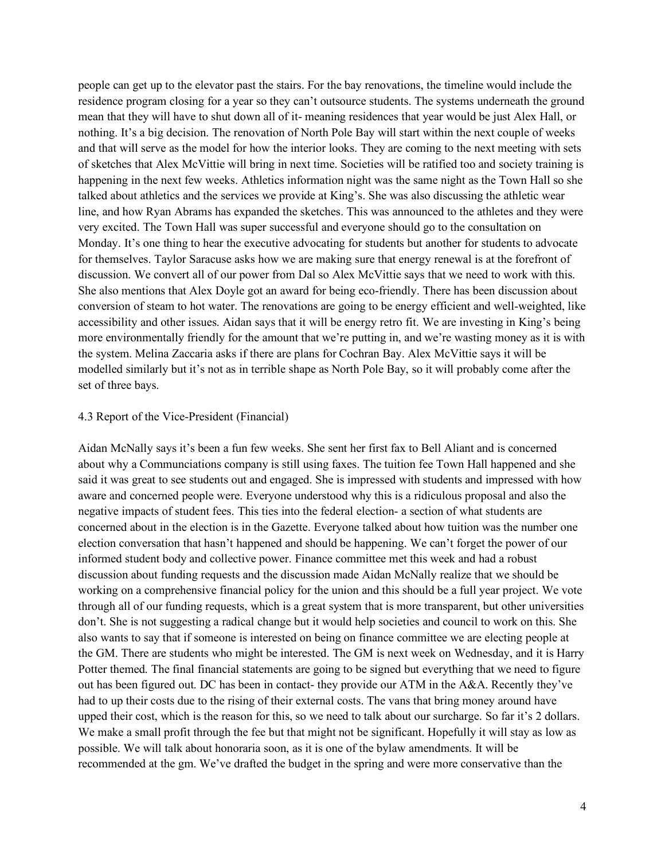people can get up to the elevator past the stairs. For the bay renovations, the timeline would include the residence program closing for a year so they can't outsource students. The systems underneath the ground mean that they will have to shut down all of it- meaning residences that year would be just Alex Hall, or nothing. It's a big decision. The renovation of North Pole Bay will start within the next couple of weeks and that will serve as the model for how the interior looks. They are coming to the next meeting with sets of sketches that Alex McVittie will bring in next time. Societies will be ratified too and society training is happening in the next few weeks. Athletics information night was the same night as the Town Hall so she talked about athletics and the services we provide at King's. She was also discussing the athletic wear line, and how Ryan Abrams has expanded the sketches. This was announced to the athletes and they were very excited. The Town Hall was super successful and everyone should go to the consultation on Monday. It's one thing to hear the executive advocating for students but another for students to advocate for themselves. Taylor Saracuse asks how we are making sure that energy renewal is at the forefront of discussion. We convert all of our power from Dal so Alex McVittie says that we need to work with this. She also mentions that Alex Doyle got an award for being eco-friendly. There has been discussion about conversion of steam to hot water. The renovations are going to be energy efficient and well-weighted, like accessibility and other issues. Aidan says that it will be energy retro fit. We are investing in King's being more environmentally friendly for the amount that we're putting in, and we're wasting money as it is with the system. Melina Zaccaria asks if there are plans for Cochran Bay. Alex McVittie says it will be modelled similarly but it's not as in terrible shape as North Pole Bay, so it will probably come after the set of three bays.

#### 4.3 Report of the Vice-President (Financial)

Aidan McNally says it's been a fun few weeks. She sent her first fax to Bell Aliant and is concerned about why a Communciations company is still using faxes. The tuition fee Town Hall happened and she said it was great to see students out and engaged. She is impressed with students and impressed with how aware and concerned people were. Everyone understood why this is a ridiculous proposal and also the negative impacts of student fees. This ties into the federal election- a section of what students are concerned about in the election is in the Gazette. Everyone talked about how tuition was the number one election conversation that hasn't happened and should be happening. We can't forget the power of our informed student body and collective power. Finance committee met this week and had a robust discussion about funding requests and the discussion made Aidan McNally realize that we should be working on a comprehensive financial policy for the union and this should be a full year project. We vote through all of our funding requests, which is a great system that is more transparent, but other universities don't. She is not suggesting a radical change but it would help societies and council to work on this. She also wants to say that if someone is interested on being on finance committee we are electing people at the GM. There are students who might be interested. The GM is next week on Wednesday, and it is Harry Potter themed. The final financial statements are going to be signed but everything that we need to figure out has been figured out. DC has been in contact- they provide our ATM in the A&A. Recently they've had to up their costs due to the rising of their external costs. The vans that bring money around have upped their cost, which is the reason for this, so we need to talk about our surcharge. So far it's 2 dollars. We make a small profit through the fee but that might not be significant. Hopefully it will stay as low as possible. We will talk about honoraria soon, as it is one of the bylaw amendments. It will be recommended at the gm. We've drafted the budget in the spring and were more conservative than the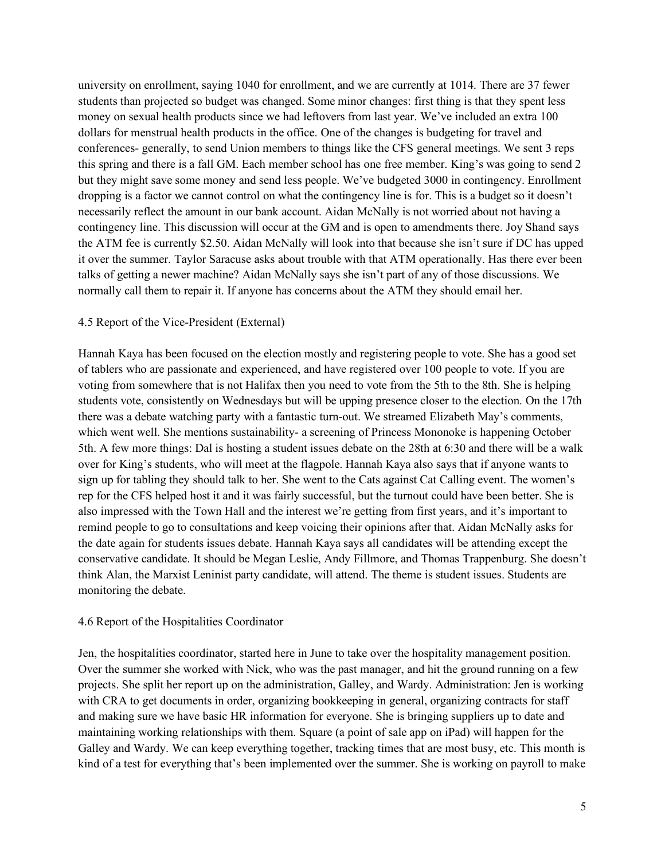university on enrollment, saying 1040 for enrollment, and we are currently at 1014. There are 37 fewer students than projected so budget was changed. Some minor changes: first thing is that they spent less money on sexual health products since we had leftovers from last year. We've included an extra 100 dollars for menstrual health products in the office. One of the changes is budgeting for travel and conferences- generally, to send Union members to things like the CFS general meetings. We sent 3 reps this spring and there is a fall GM. Each member school has one free member. King's was going to send 2 but they might save some money and send less people. We've budgeted 3000 in contingency. Enrollment dropping is a factor we cannot control on what the contingency line is for. This is a budget so it doesn't necessarily reflect the amount in our bank account. Aidan McNally is not worried about not having a contingency line. This discussion will occur at the GM and is open to amendments there. Joy Shand says the ATM fee is currently \$2.50. Aidan McNally will look into that because she isn't sure if DC has upped it over the summer. Taylor Saracuse asks about trouble with that ATM operationally. Has there ever been talks of getting a newer machine? Aidan McNally says she isn't part of any of those discussions. We normally call them to repair it. If anyone has concerns about the ATM they should email her.

## 4.5 Report of the Vice-President (External)

Hannah Kaya has been focused on the election mostly and registering people to vote. She has a good set of tablers who are passionate and experienced, and have registered over 100 people to vote. If you are voting from somewhere that is not Halifax then you need to vote from the 5th to the 8th. She is helping students vote, consistently on Wednesdays but will be upping presence closer to the election. On the 17th there was a debate watching party with a fantastic turn-out. We streamed Elizabeth May's comments, which went well. She mentions sustainability- a screening of Princess Mononoke is happening October 5th. A few more things: Dal is hosting a student issues debate on the 28th at 6:30 and there will be a walk over for King's students, who will meet at the flagpole. Hannah Kaya also says that if anyone wants to sign up for tabling they should talk to her. She went to the Cats against Cat Calling event. The women's rep for the CFS helped host it and it was fairly successful, but the turnout could have been better. She is also impressed with the Town Hall and the interest we're getting from first years, and it's important to remind people to go to consultations and keep voicing their opinions after that. Aidan McNally asks for the date again for students issues debate. Hannah Kaya says all candidates will be attending except the conservative candidate. It should be Megan Leslie, Andy Fillmore, and Thomas Trappenburg. She doesn't think Alan, the Marxist Leninist party candidate, will attend. The theme is student issues. Students are monitoring the debate.

#### 4.6 Report of the Hospitalities Coordinator

Jen, the hospitalities coordinator, started here in June to take over the hospitality management position. Over the summer she worked with Nick, who was the past manager, and hit the ground running on a few projects. She split her report up on the administration, Galley, and Wardy. Administration: Jen is working with CRA to get documents in order, organizing bookkeeping in general, organizing contracts for staff and making sure we have basic HR information for everyone. She is bringing suppliers up to date and maintaining working relationships with them. Square (a point of sale app on iPad) will happen for the Galley and Wardy. We can keep everything together, tracking times that are most busy, etc. This month is kind of a test for everything that's been implemented over the summer. She is working on payroll to make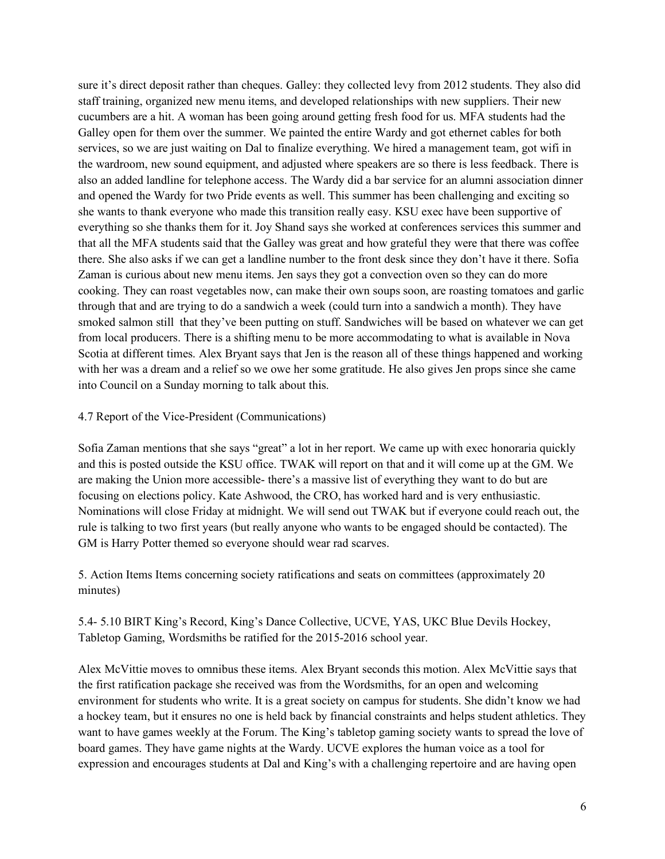sure it's direct deposit rather than cheques. Galley: they collected levy from 2012 students. They also did staff training, organized new menu items, and developed relationships with new suppliers. Their new cucumbers are a hit. A woman has been going around getting fresh food for us. MFA students had the Galley open for them over the summer. We painted the entire Wardy and got ethernet cables for both services, so we are just waiting on Dal to finalize everything. We hired a management team, got wifi in the wardroom, new sound equipment, and adjusted where speakers are so there is less feedback. There is also an added landline for telephone access. The Wardy did a bar service for an alumni association dinner and opened the Wardy for two Pride events as well. This summer has been challenging and exciting so she wants to thank everyone who made this transition really easy. KSU exec have been supportive of everything so she thanks them for it. Joy Shand says she worked at conferences services this summer and that all the MFA students said that the Galley was great and how grateful they were that there was coffee there. She also asks if we can get a landline number to the front desk since they don't have it there. Sofia Zaman is curious about new menu items. Jen says they got a convection oven so they can do more cooking. They can roast vegetables now, can make their own soups soon, are roasting tomatoes and garlic through that and are trying to do a sandwich a week (could turn into a sandwich a month). They have smoked salmon still that they've been putting on stuff. Sandwiches will be based on whatever we can get from local producers. There is a shifting menu to be more accommodating to what is available in Nova Scotia at different times. Alex Bryant says that Jen is the reason all of these things happened and working with her was a dream and a relief so we owe her some gratitude. He also gives Jen props since she came into Council on a Sunday morning to talk about this.

# 4.7 Report of the Vice-President (Communications)

Sofia Zaman mentions that she says "great" a lot in her report. We came up with exec honoraria quickly and this is posted outside the KSU office. TWAK will report on that and it will come up at the GM. We are making the Union more accessible- there's a massive list of everything they want to do but are focusing on elections policy. Kate Ashwood, the CRO, has worked hard and is very enthusiastic. Nominations will close Friday at midnight. We will send out TWAK but if everyone could reach out, the rule is talking to two first years (but really anyone who wants to be engaged should be contacted). The GM is Harry Potter themed so everyone should wear rad scarves.

5. Action Items Items concerning society ratifications and seats on committees (approximately 20 minutes)

5.4- 5.10 BIRT King's Record, King's Dance Collective, UCVE, YAS, UKC Blue Devils Hockey, Tabletop Gaming, Wordsmiths be ratified for the 2015-2016 school year.

Alex McVittie moves to omnibus these items. Alex Bryant seconds this motion. Alex McVittie says that the first ratification package she received was from the Wordsmiths, for an open and welcoming environment for students who write. It is a great society on campus for students. She didn't know we had a hockey team, but it ensures no one is held back by financial constraints and helps student athletics. They want to have games weekly at the Forum. The King's tabletop gaming society wants to spread the love of board games. They have game nights at the Wardy. UCVE explores the human voice as a tool for expression and encourages students at Dal and King's with a challenging repertoire and are having open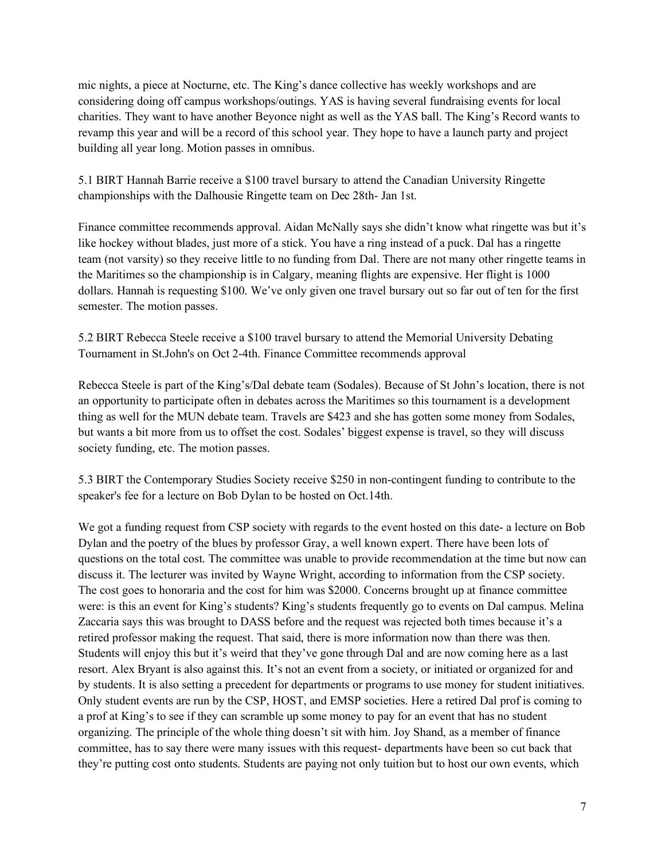mic nights, a piece at Nocturne, etc. The King's dance collective has weekly workshops and are considering doing off campus workshops/outings. YAS is having several fundraising events for local charities. They want to have another Beyonce night as well as the YAS ball. The King's Record wants to revamp this year and will be a record of this school year. They hope to have a launch party and project building all year long. Motion passes in omnibus.

5.1 BIRT Hannah Barrie receive a \$100 travel bursary to attend the Canadian University Ringette championships with the Dalhousie Ringette team on Dec 28th- Jan 1st.

Finance committee recommends approval. Aidan McNally says she didn't know what ringette was but it's like hockey without blades, just more of a stick. You have a ring instead of a puck. Dal has a ringette team (not varsity) so they receive little to no funding from Dal. There are not many other ringette teams in the Maritimes so the championship is in Calgary, meaning flights are expensive. Her flight is 1000 dollars. Hannah is requesting \$100. We've only given one travel bursary out so far out of ten for the first semester. The motion passes.

5.2 BIRT Rebecca Steele receive a \$100 travel bursary to attend the Memorial University Debating Tournament in St.John's on Oct 2-4th. Finance Committee recommends approval

Rebecca Steele is part of the King's/Dal debate team (Sodales). Because of St John's location, there is not an opportunity to participate often in debates across the Maritimes so this tournament is a development thing as well for the MUN debate team. Travels are \$423 and she has gotten some money from Sodales, but wants a bit more from us to offset the cost. Sodales' biggest expense is travel, so they will discuss society funding, etc. The motion passes.

5.3 BIRT the Contemporary Studies Society receive \$250 in non-contingent funding to contribute to the speaker's fee for a lecture on Bob Dylan to be hosted on Oct.14th.

We got a funding request from CSP society with regards to the event hosted on this date- a lecture on Bob Dylan and the poetry of the blues by professor Gray, a well known expert. There have been lots of questions on the total cost. The committee was unable to provide recommendation at the time but now can discuss it. The lecturer was invited by Wayne Wright, according to information from the CSP society. The cost goes to honoraria and the cost for him was \$2000. Concerns brought up at finance committee were: is this an event for King's students? King's students frequently go to events on Dal campus. Melina Zaccaria says this was brought to DASS before and the request was rejected both times because it's a retired professor making the request. That said, there is more information now than there was then. Students will enjoy this but it's weird that they've gone through Dal and are now coming here as a last resort. Alex Bryant is also against this. It's not an event from a society, or initiated or organized for and by students. It is also setting a precedent for departments or programs to use money for student initiatives. Only student events are run by the CSP, HOST, and EMSP societies. Here a retired Dal prof is coming to a prof at King's to see if they can scramble up some money to pay for an event that has no student organizing. The principle of the whole thing doesn't sit with him. Joy Shand, as a member of finance committee, has to say there were many issues with this request- departments have been so cut back that they're putting cost onto students. Students are paying not only tuition but to host our own events, which